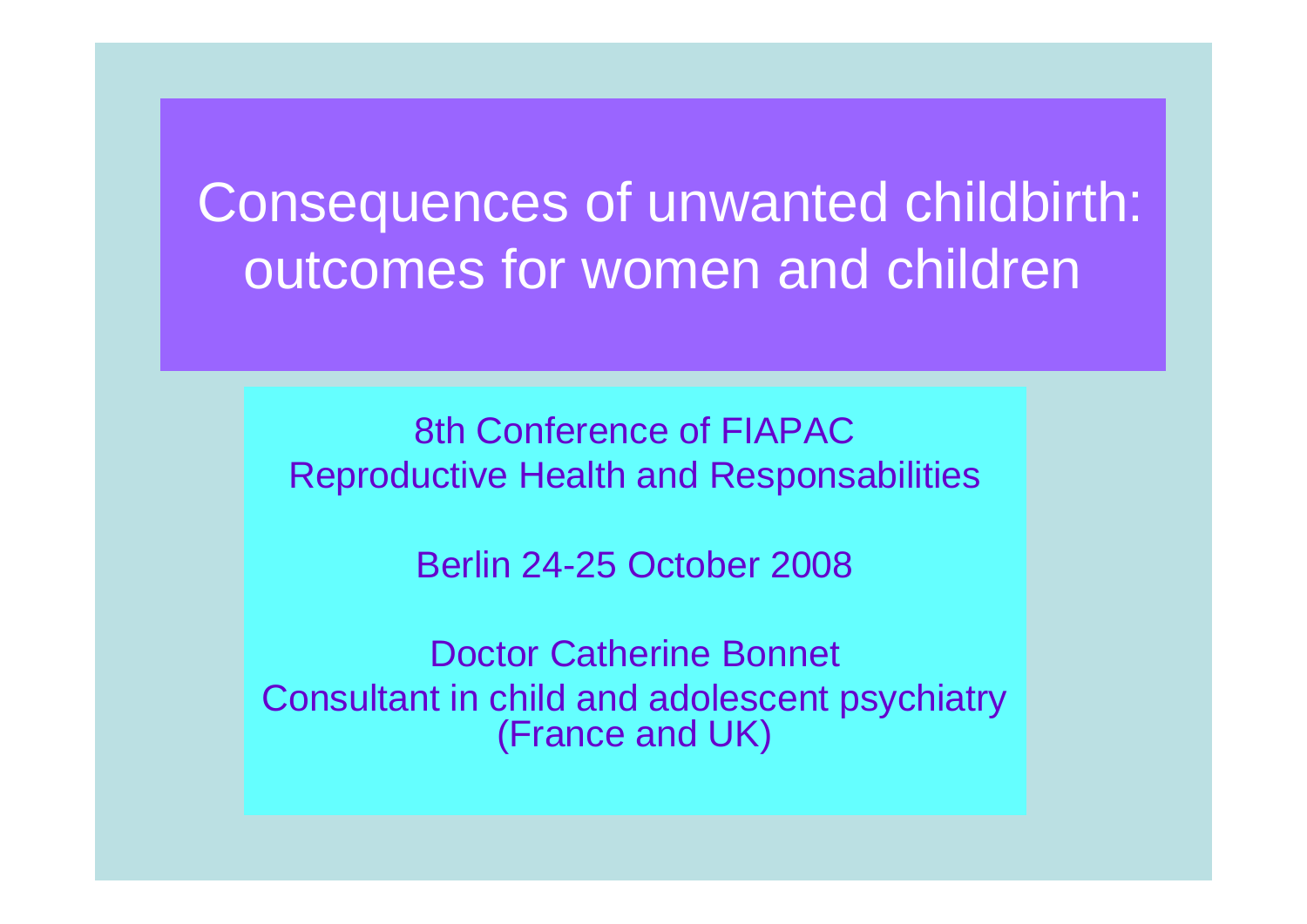# Consequences of unwanted childbirth: outcomes for women and children

8th Conference of FIAPACReproductive Health and Responsabilities

Berlin 24-25 October 2008

Doctor Catherine Bonnet Consultant in child and adolescent psychiatry (France and UK)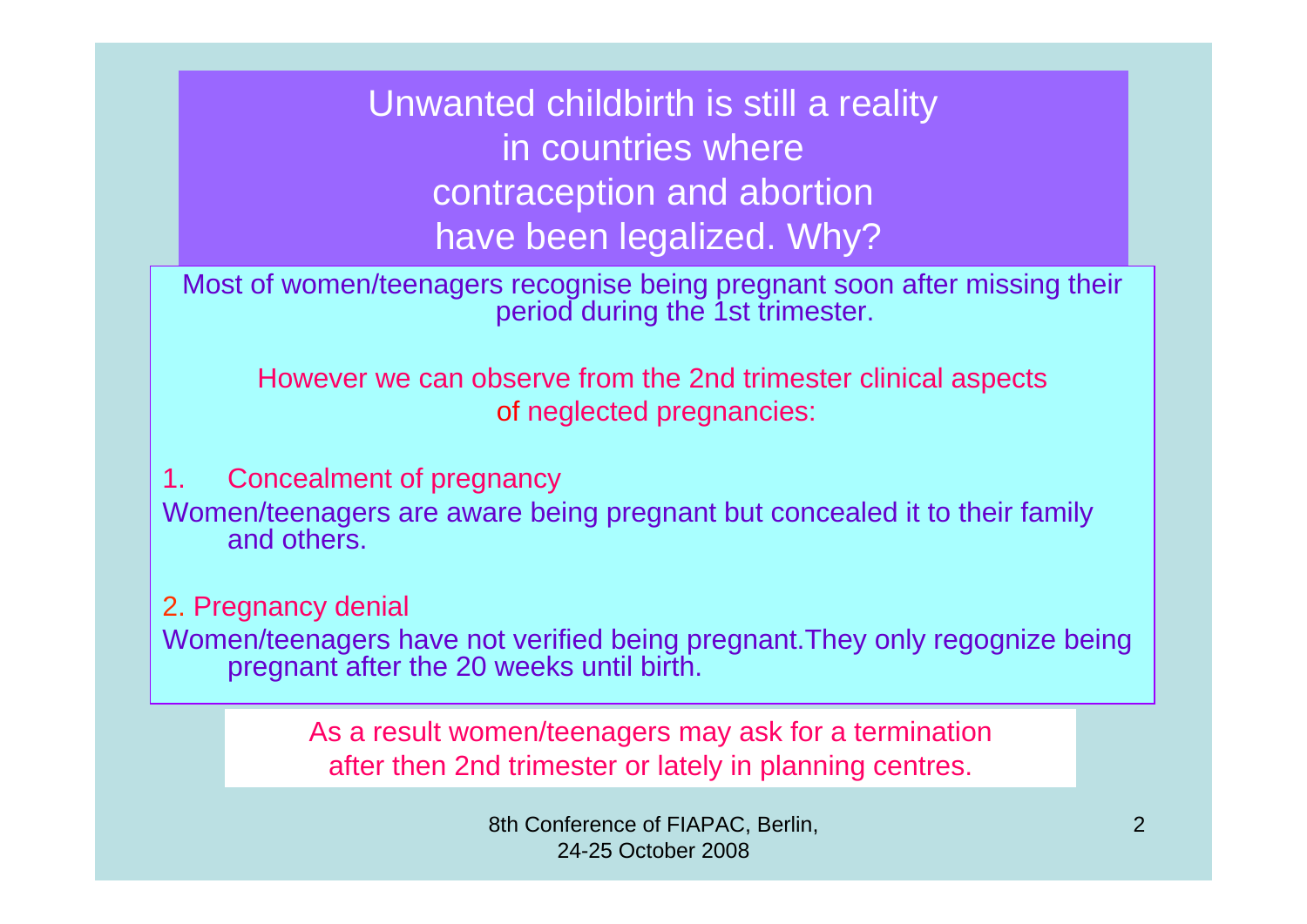Unwanted childbirth is still a reality in countries where contraception and abortion have been legalized. Why?

Most of women/teenagers recognise being pregnant soon after missing their period during the 1st trimester.

However we can observe from the 2nd trimester clinical aspects of neglected pregnancies:

1. Concealment of pregnancy Women/teenagers are aware being pregnant but concealed it to their family and others.

2. Pregnancy denial Women/teenagers have not verified being pregnant.They only regognize being pregnant after the 20 weeks until birth.

> As a result women/teenagers may ask for a termination after then 2nd trimester or lately in planning centres.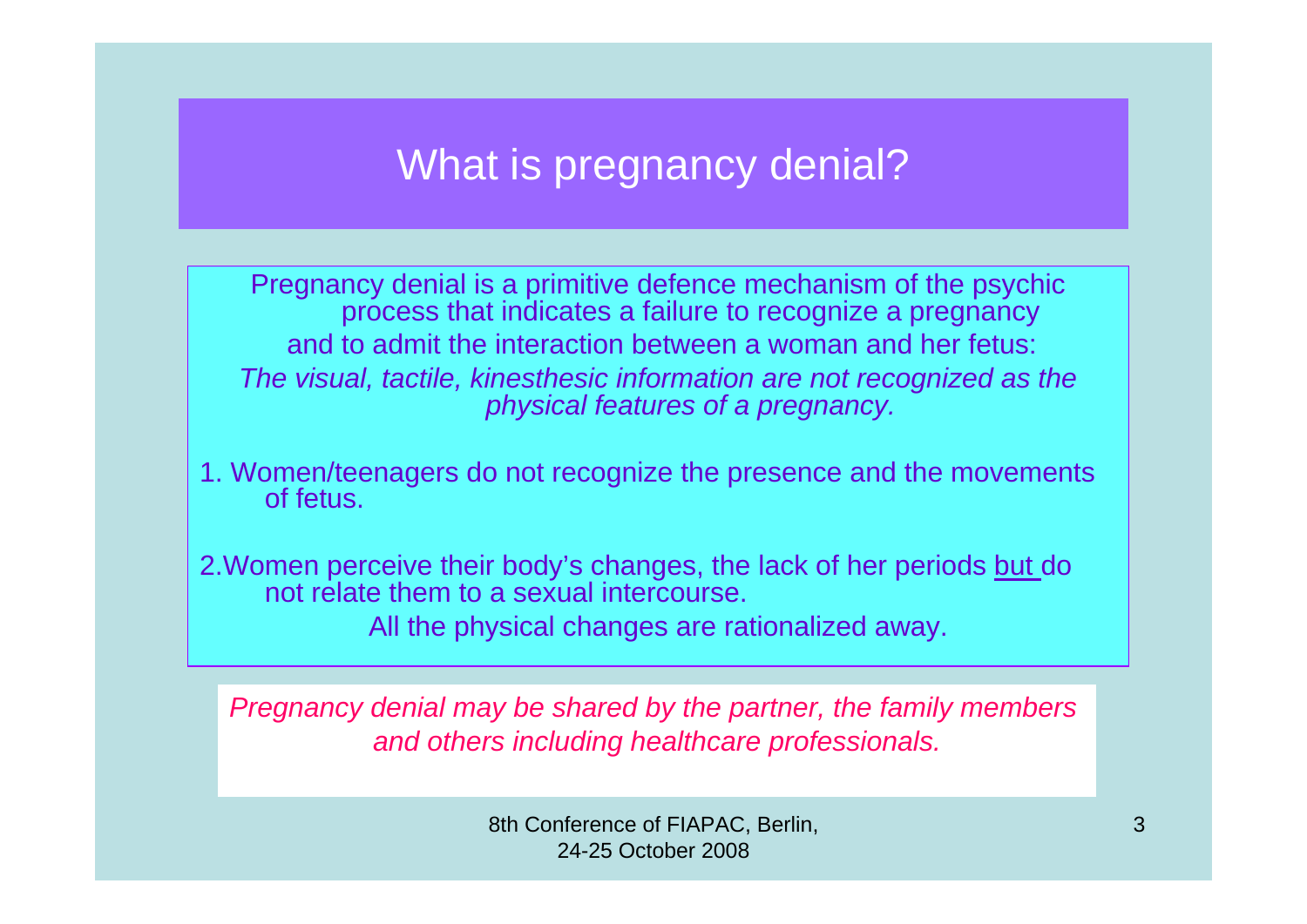#### What is pregnancy denial?

Pregnancy denial is a primitive defence mechanism of the psychic process that indicates a failure to recognize a pregnancy and to admit the interaction between a woman and her fetus:*The visual, tactile, kinesthesic information are not recognized as the physical features of a pregnancy.*

1. Women/teenagers do not recognize the presence and the movements of fetus.

2.Women perceive their body's changes, the lack of her periods but do not relate them to a sexual intercourse.All the physical changes are rationalized away.

*Pregnancy denial may be shared by the partner, the family members and others including healthcare professionals.*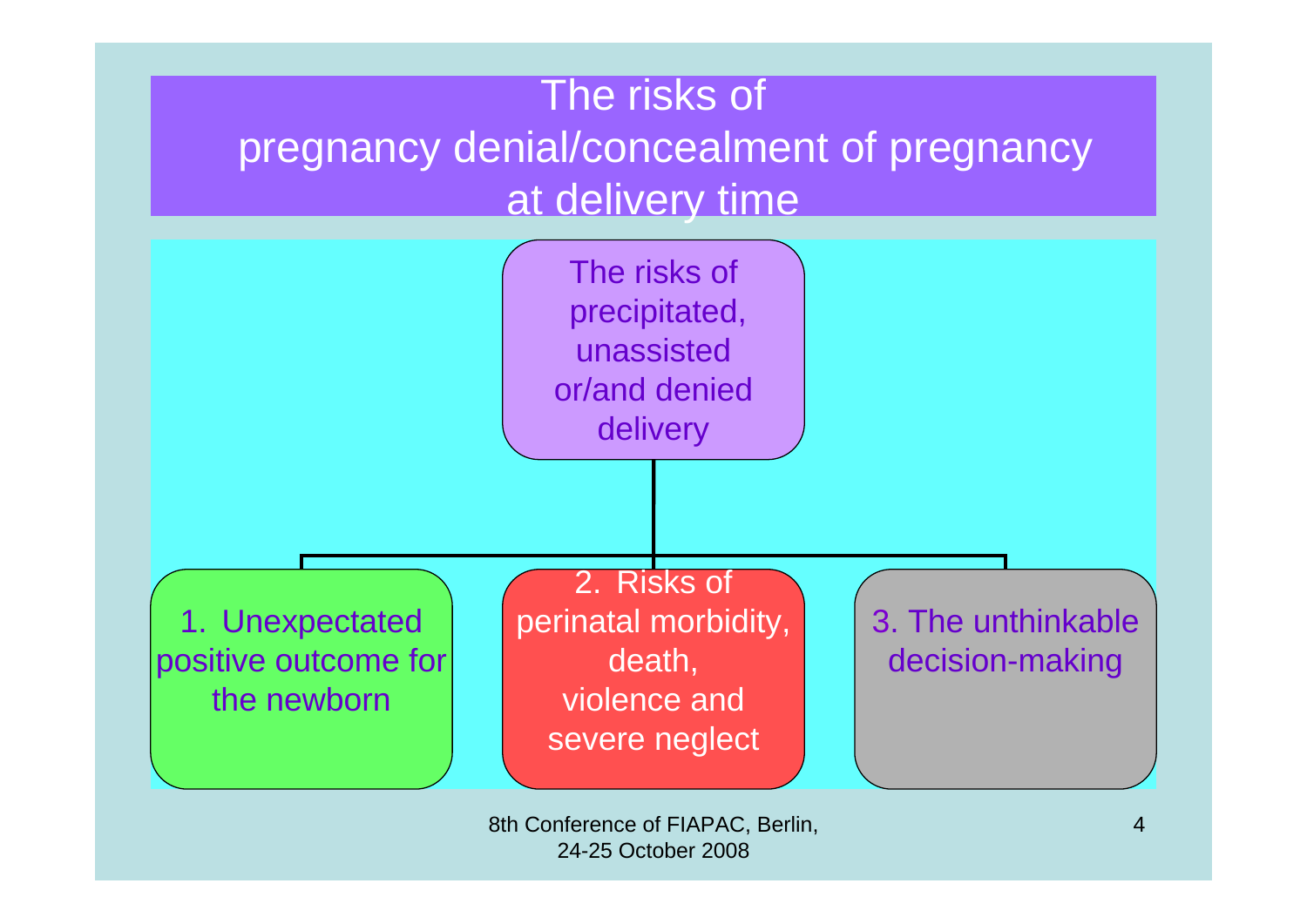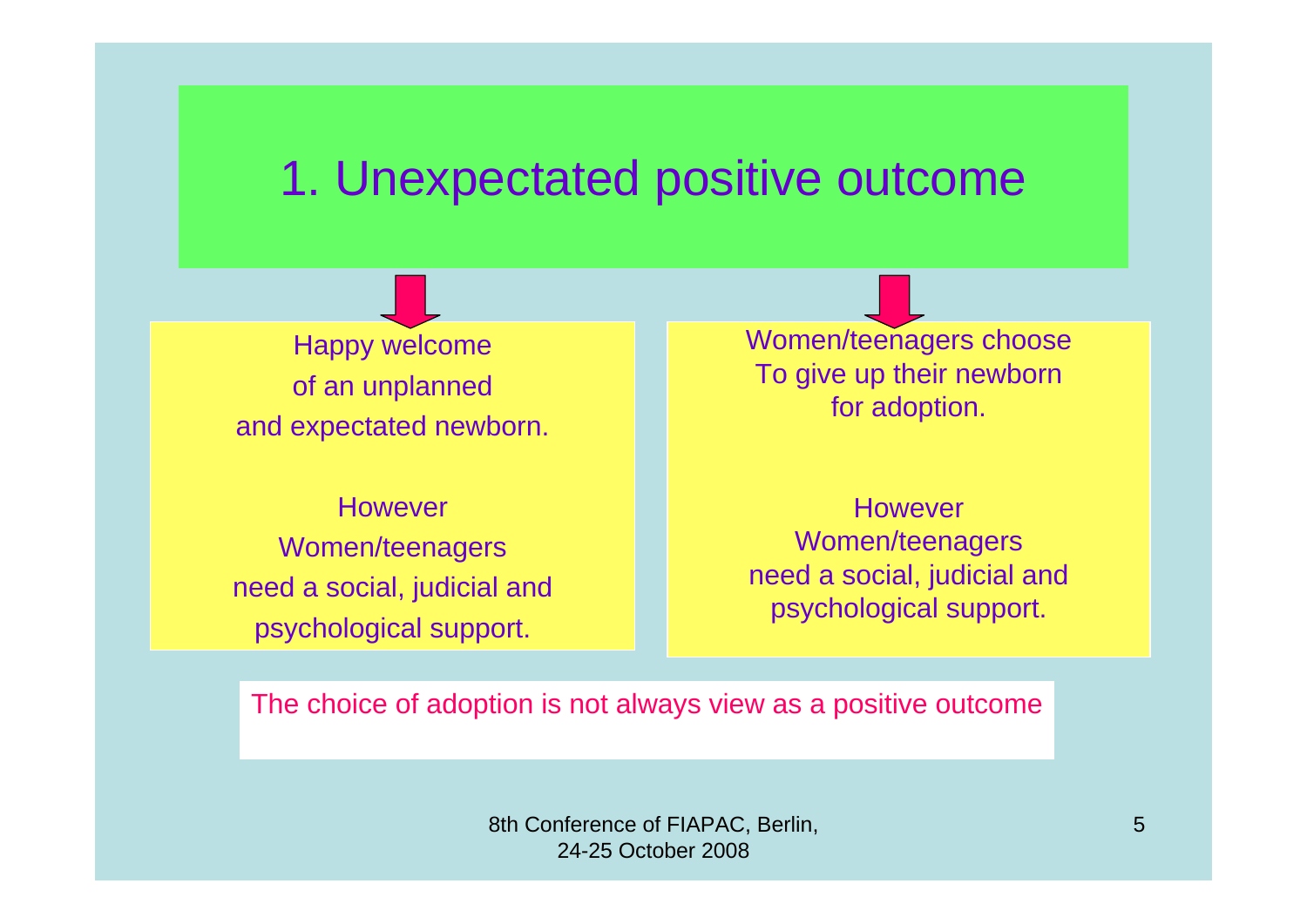### 1. Unexpectated positive outcome

Happy welcome of an unplanned and expectated newborn.

HoweverWomen/teenagers need a social, judicial and psychological support.

Women/teenagers choose To give up their newborn for adoption.

However Women/teenagers need a social, judicial and psychological support.

The choice of adoption is not always view as a positive outcome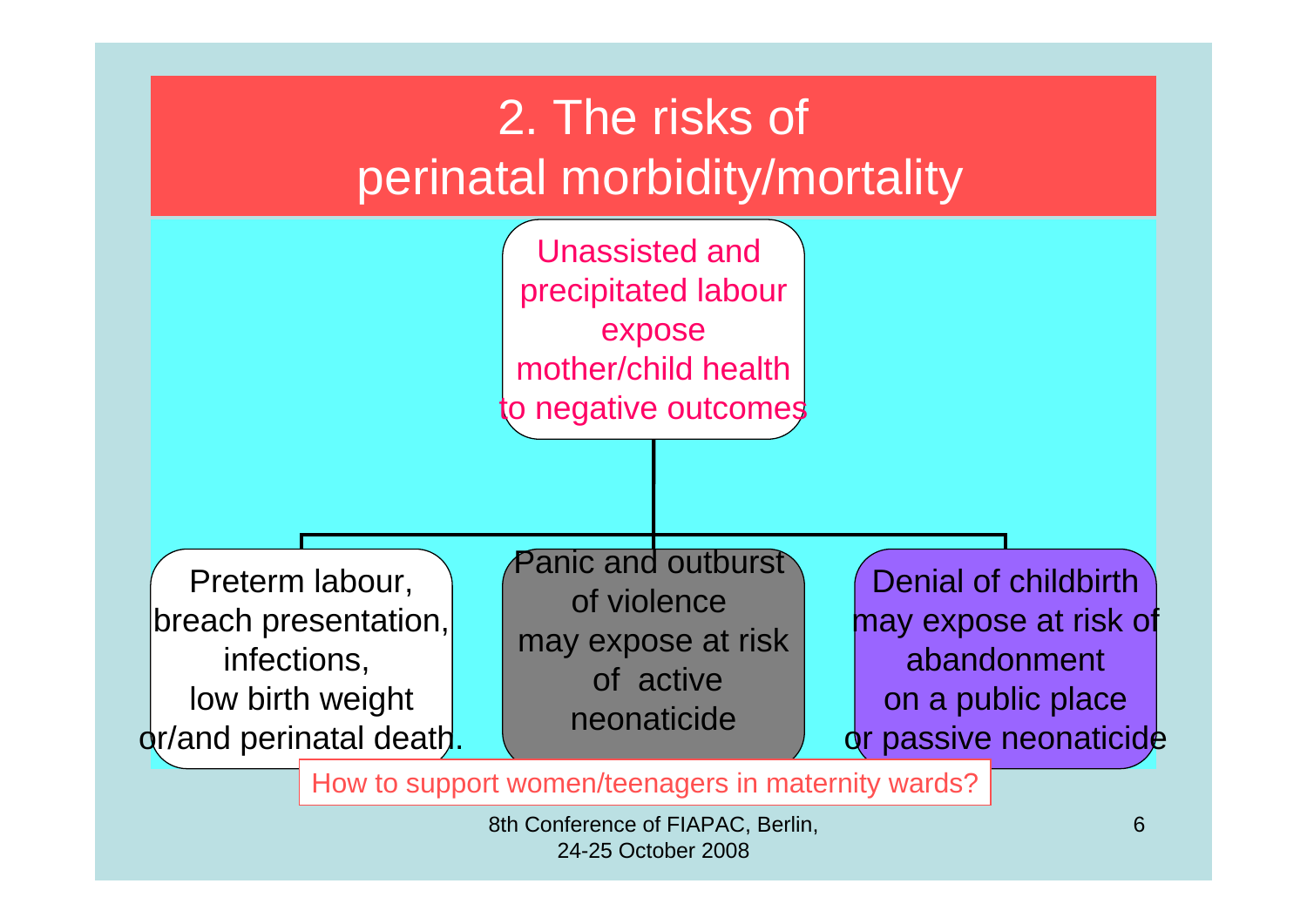

How to support women/teenagers in maternity wards?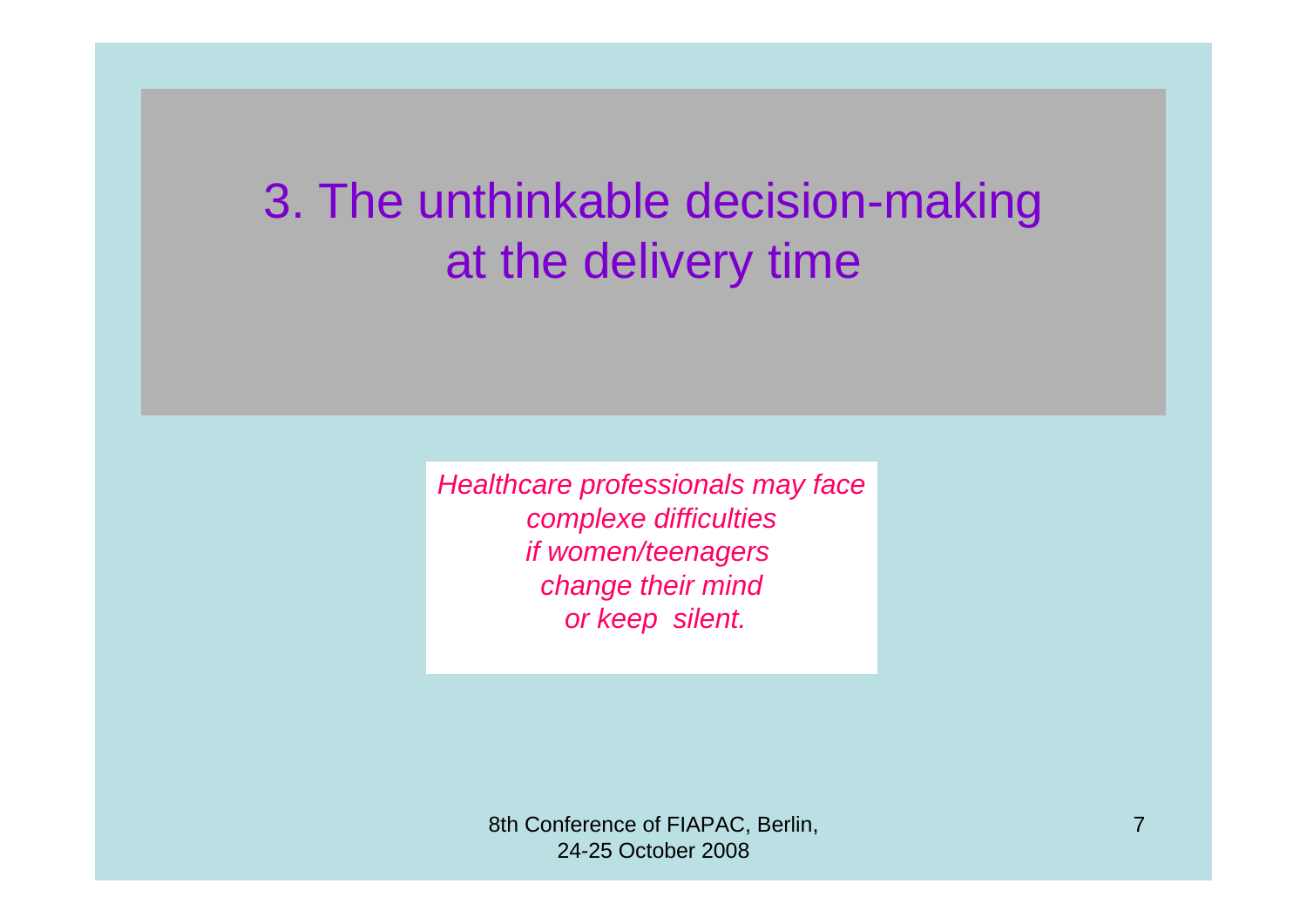## 3. The unthinkable decision-making at the delivery time

*Healthcare professionals may face complexe difficulties if women/teenagers change their mind or keep silent.*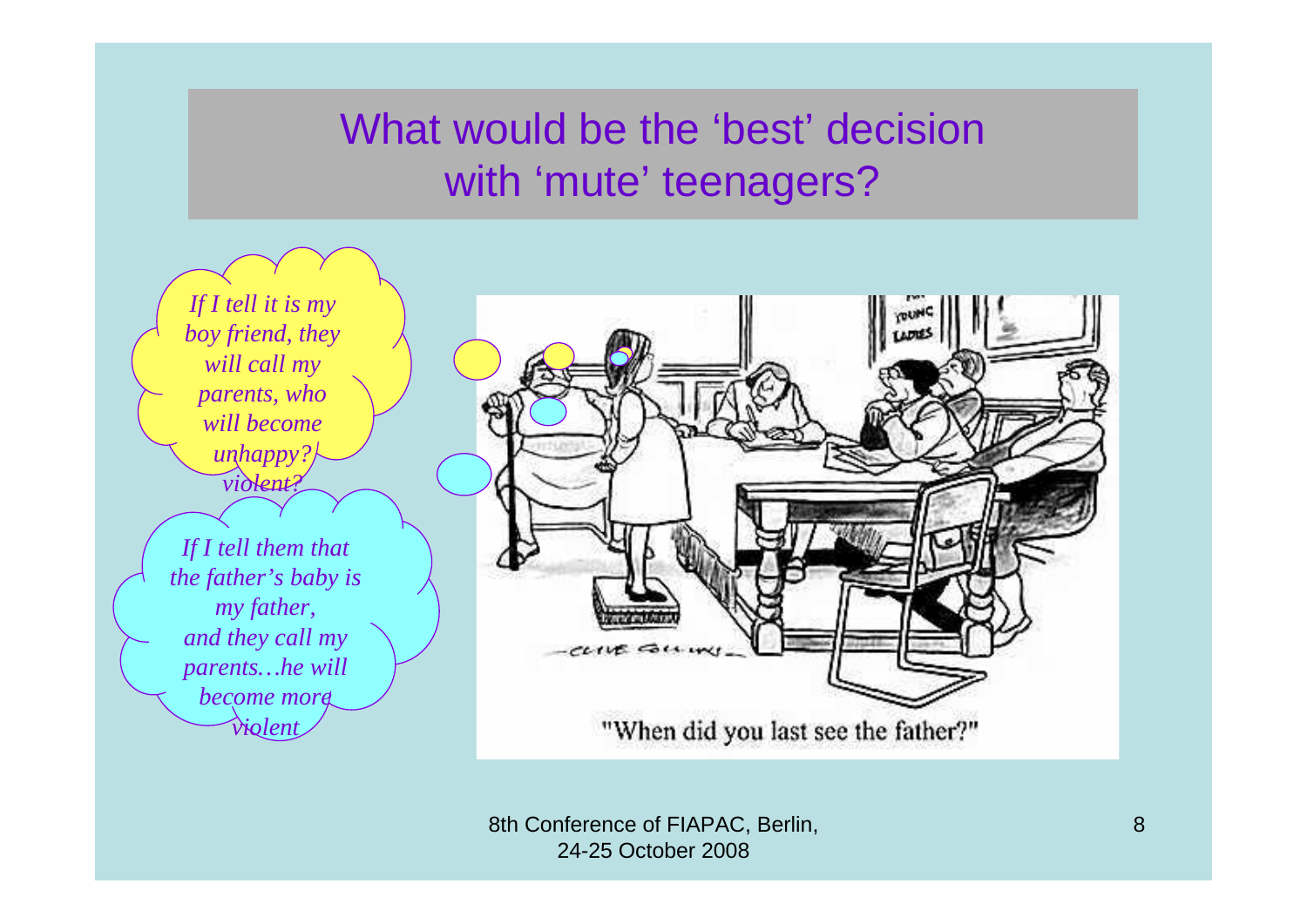### What would be the 'best' decision with 'mute' teenagers?

*If I tell it is my boy friend, they will call my parents, who will become unhappy? violent?If I tell them that the father's baby is my father, and they call my parents…he will become more violent*

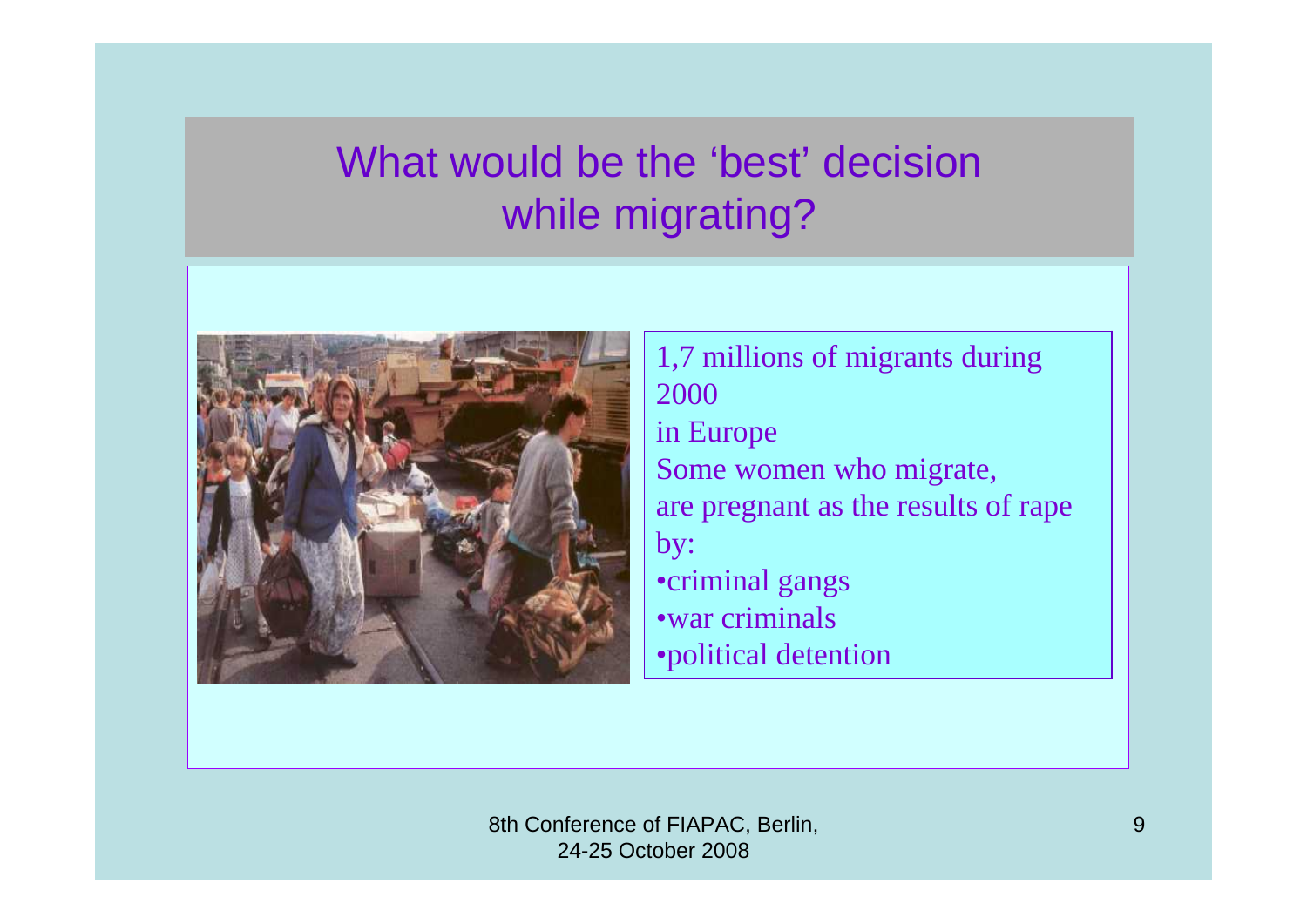### What would be the 'best' decision while migrating?



1,7 millions of migrants during 2000in Europe Some women who migrate, are pregnant as the results of rape by: •criminal gangs •war criminals•political detention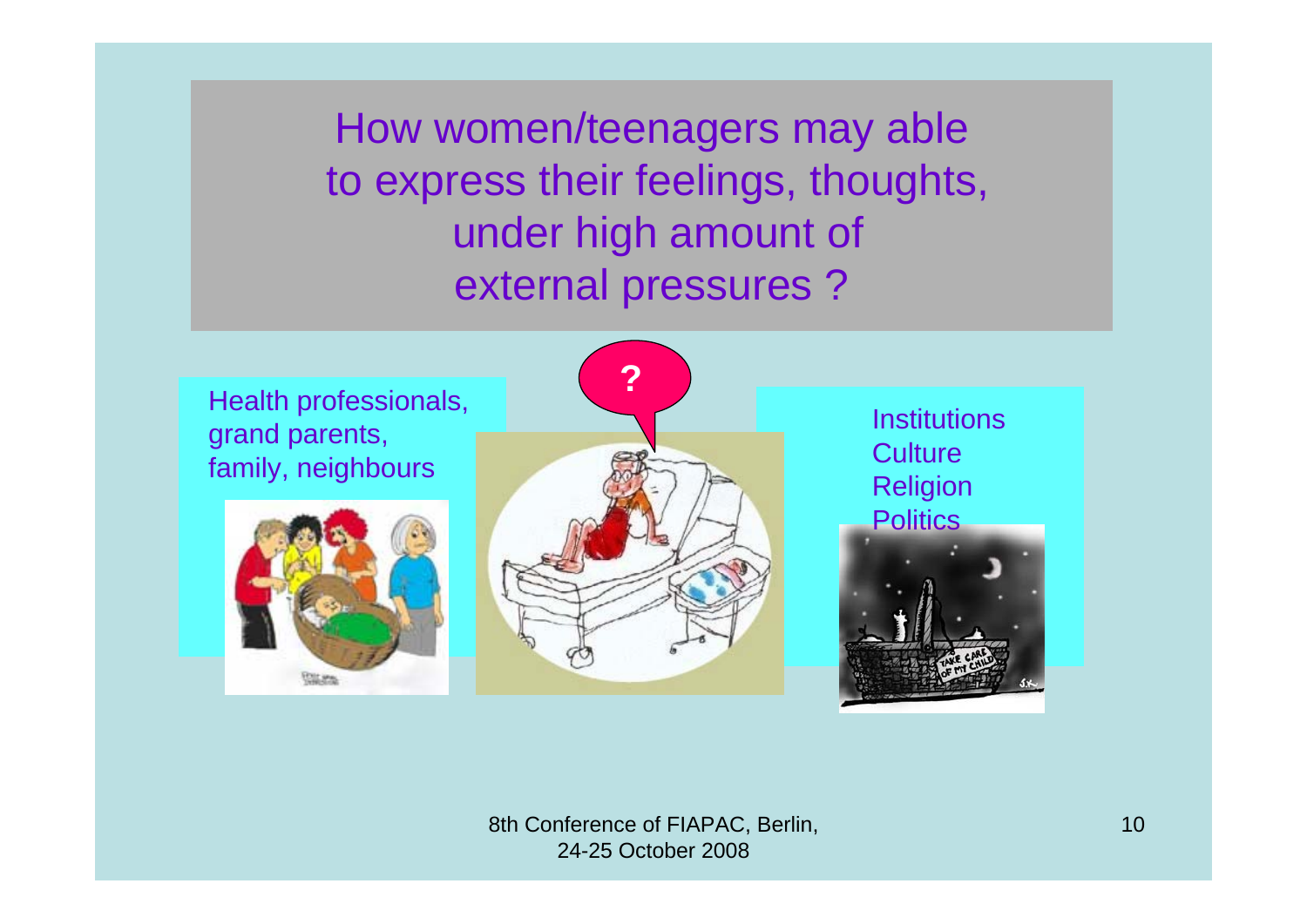How women/teenagers may able to express their feelings, thoughts, under high amount of external pressures ?







**Institutions Culture** Religion Politics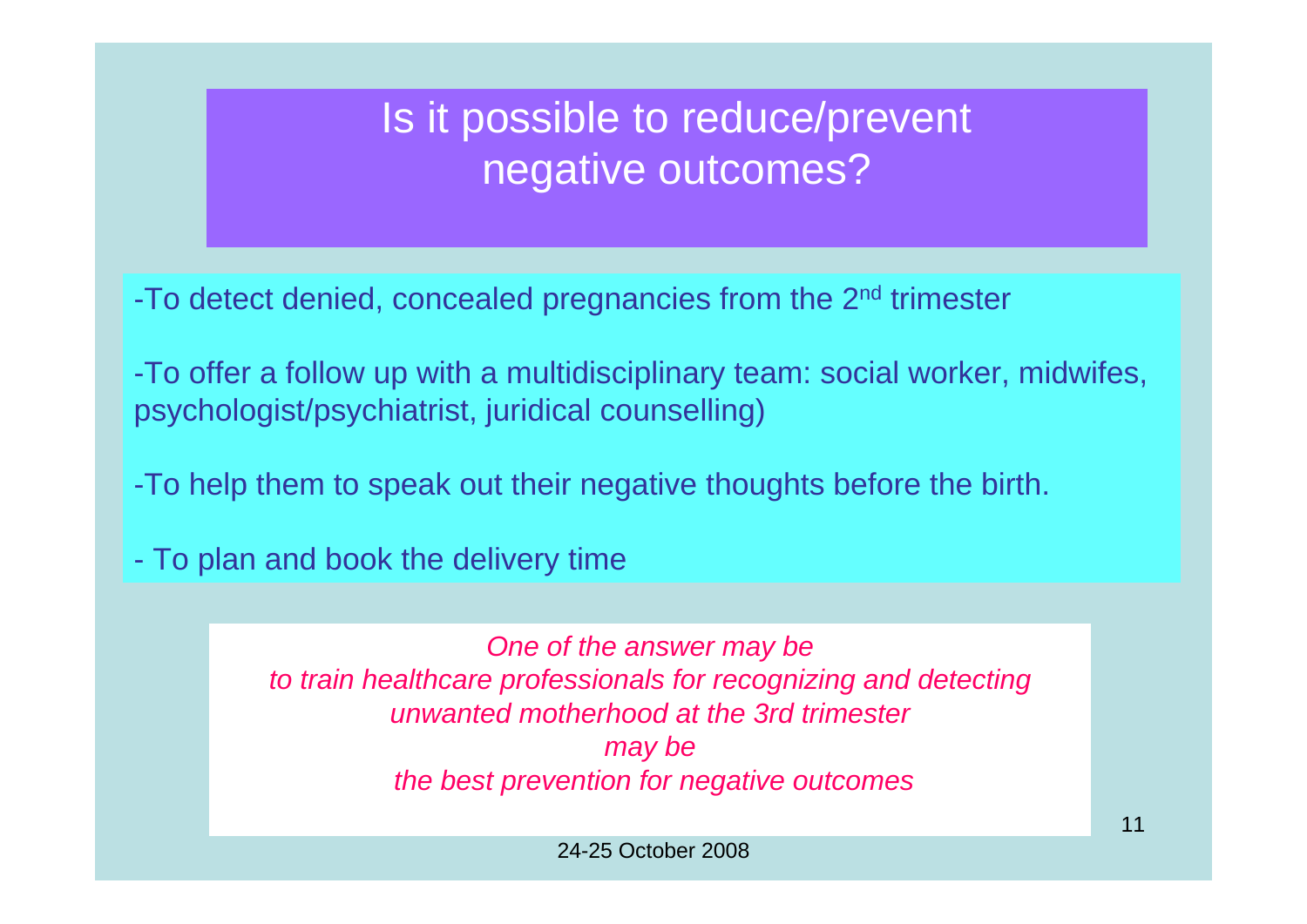### Is it possible to reduce/prevent negative outcomes?

-To detect denied, concealed pregnancies from the 2nd trimester

-To offer a follow up with a multidisciplinary team: social worker, midwifes, psychologist/psychiatrist, juridical counselling)

-To help them to speak out their negative thoughts before the birth.

- To plan and book the delivery time

*One of the answer may be to train healthcare professionals for recognizing and detecting unwanted motherhood at the 3rd trimester may be the best prevention for negative outcomes*